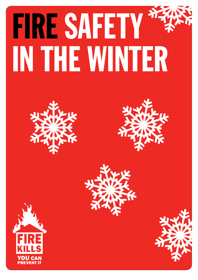# FIRE SAFETY IN THE WINTER







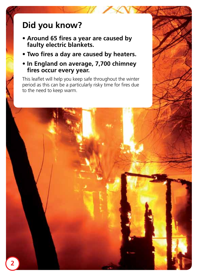# **Did you know?**

- **Around 65 fires a year are caused by faulty electric blankets.**
- **Two fires a day are caused by heaters.**
- **In England on average, 7,700 chimney fires occur every year.**

This leaflet will help you keep safe throughout the winter period as this can be a particularly risky time for fires due to the need to keep warm.

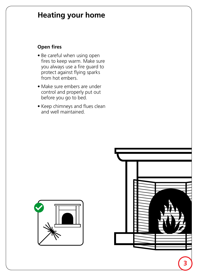### **Heating your home**

#### **Open fires**

- Be careful when using open fires to keep warm. Make sure you always use a fire guard to protect against flying sparks from hot embers.
- Make sure embers are under control and properly put out before you go to bed.
- Keep chimneys and flues clean and well maintained.



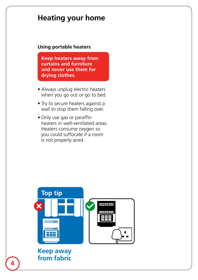# **Heating your home**

#### **Using portable heaters**

**Keep heaters away from curtains and furniture and never use them for drying clothes.** 

- Always unplug electric heaters when you go out or go to bed.
- Try to secure heaters against a wall to stop them falling over.
- Only use gas or paraffin heaters in well-ventilated areas. Heaters consume oxygen so you could suffocate if a room is not properly aired.



#### **Keep away from fabric**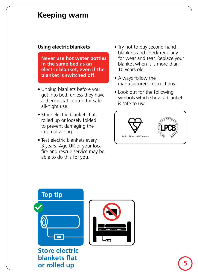#### **Keeping warm**

#### **Using electric blankets**

 **Never use hot water bottles in the same bed as an electric blanket, even if the blanket is switched off.**

- • Unplug blankets before you get into bed, unless they have a thermostat control for safe all-night use.
- Store electric blankets flat. rolled up or loosely folded to prevent damaging the internal wiring.
- Test electric blankets every 3 years. Age UK or your local fire and rescue service may be able to do this for you.
- Try not to buy second-hand blankets and check regularly for wear and tear. Replace your blanket when it is more than 10 years old.
- Always follow the manufacturer's instructions.
- Look out for the following symbols which show a blanket is safe to use.



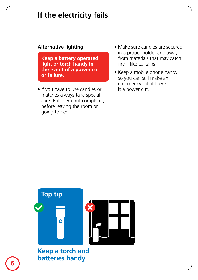## **If the electricity fails**

#### **Alternative lighting**

 **Keep a battery operated light or torch handy in the event of a power cut or failure.**

- If you have to use candles or matches always take special care. Put them out completely before leaving the room or going to bed.
- Make sure candles are secured in a proper holder and away from materials that may catch fire – like curtains.
- Keep a mobile phone handy so you can still make an emergency call if there is a power cut.

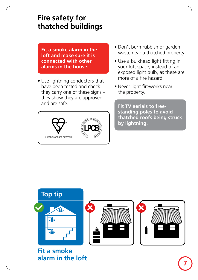# **Fire safety for thatched buildings**

**Fit a smoke alarm in the loft and make sure it is connected with other alarms in the house.**

• Use lightning conductors that have been tested and check they carry one of these signs – they show they are approved and are safe.



- Don't burn rubbish or garden waste near a thatched property.
- Use a bulkhead light fitting in your loft space, instead of an exposed light bulb, as these are more of a fire hazard.
- Never light fireworks near the property.

**Fit TV aerials to freestanding poles to avoid thatched roofs being struck by lightning.**